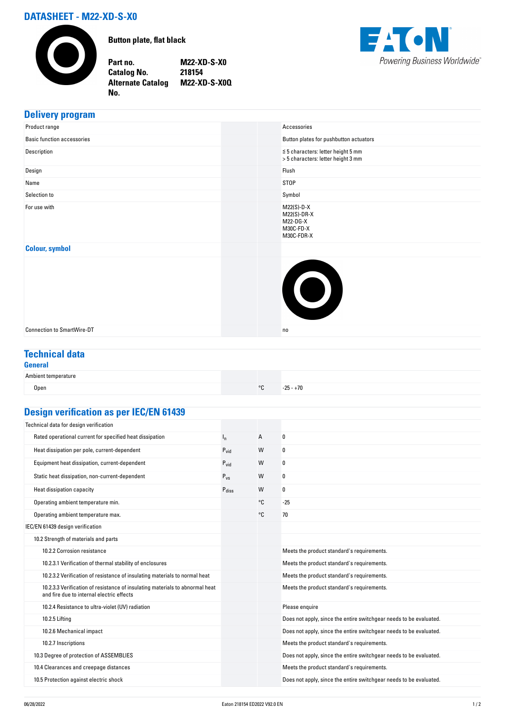# **DATASHEET - M22-XD-S-X0**

**No.** 



**Button plate, flat black**

**Part no. M22-XD-S-X0 Catalog No. 218154 Alternate Catalog M22-XD-S-X0Q**



### **Delivery program**

| Product range                     | Accessories                                                                   |
|-----------------------------------|-------------------------------------------------------------------------------|
| <b>Basic function accessories</b> | Button plates for pushbutton actuators                                        |
| Description                       | $\leq$ 5 characters: letter height 5 mm<br>> 5 characters: letter height 3 mm |
| Design                            | Flush                                                                         |
| Name                              | <b>STOP</b>                                                                   |
| Selection to                      | Symbol                                                                        |
| For use with                      | $M22(S)-D-X$<br>$M22(S)-DR-X$<br>M22-DG-X<br>M30C-FD-X<br>M30C-FDR-X          |
| <b>Colour, symbol</b>             |                                                                               |
|                                   | $\bullet$                                                                     |
| <b>Connection to SmartWire-DT</b> | no                                                                            |

# **Technical data**

#### **General**

| Ambient temperature |            |             |  |
|---------------------|------------|-------------|--|
| Open                | $^{\circ}$ | $-25 - +70$ |  |

## **Design verification as per IEC/EN 61439**

| Posign vermoution us per illy liv or tos                                                                                  |                   |    |                                                                    |
|---------------------------------------------------------------------------------------------------------------------------|-------------------|----|--------------------------------------------------------------------|
| Technical data for design verification                                                                                    |                   |    |                                                                    |
| Rated operational current for specified heat dissipation                                                                  | $I_{n}$           | А  | 0                                                                  |
| Heat dissipation per pole, current-dependent                                                                              | $P_{\text{vid}}$  | W  | 0                                                                  |
| Equipment heat dissipation, current-dependent                                                                             | $P_{\text{vid}}$  | W  | 0                                                                  |
| Static heat dissipation, non-current-dependent                                                                            | $P_{VS}$          | W  | 0                                                                  |
| Heat dissipation capacity                                                                                                 | $P_{\text{diss}}$ | W  | 0                                                                  |
| Operating ambient temperature min.                                                                                        |                   | °C | $-25$                                                              |
| Operating ambient temperature max.                                                                                        |                   | °C | 70                                                                 |
| IEC/EN 61439 design verification                                                                                          |                   |    |                                                                    |
| 10.2 Strength of materials and parts                                                                                      |                   |    |                                                                    |
| 10.2.2 Corrosion resistance                                                                                               |                   |    | Meets the product standard's requirements.                         |
| 10.2.3.1 Verification of thermal stability of enclosures                                                                  |                   |    | Meets the product standard's requirements.                         |
| 10.2.3.2 Verification of resistance of insulating materials to normal heat                                                |                   |    | Meets the product standard's requirements.                         |
| 10.2.3.3 Verification of resistance of insulating materials to abnormal heat<br>and fire due to internal electric effects |                   |    | Meets the product standard's requirements.                         |
| 10.2.4 Resistance to ultra-violet (UV) radiation                                                                          |                   |    | Please enquire                                                     |
| 10.2.5 Lifting                                                                                                            |                   |    | Does not apply, since the entire switchgear needs to be evaluated. |
| 10.2.6 Mechanical impact                                                                                                  |                   |    | Does not apply, since the entire switchgear needs to be evaluated. |
| 10.2.7 Inscriptions                                                                                                       |                   |    | Meets the product standard's requirements.                         |
| 10.3 Degree of protection of ASSEMBLIES                                                                                   |                   |    | Does not apply, since the entire switchgear needs to be evaluated. |
| 10.4 Clearances and creepage distances                                                                                    |                   |    | Meets the product standard's requirements.                         |
| 10.5 Protection against electric shock                                                                                    |                   |    | Does not apply, since the entire switchgear needs to be evaluated. |